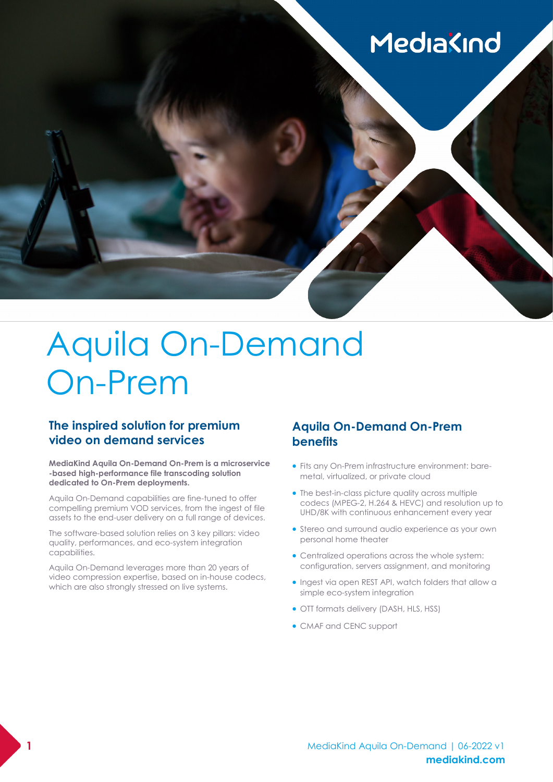# MediaKind

# Aquila On-Demand On-Prem

## **The inspired solution for premium video on demand services**

**MediaKind Aquila On-Demand On-Prem is a microservice -based high-performance file transcoding solution dedicated to On-Prem deployments.** 

Aquila On-Demand capabilities are fine-tuned to offer compelling premium VOD services, from the ingest of file assets to the end-user delivery on a full range of devices.

The software-based solution relies on 3 key pillars: video quality, performances, and eco-system integration capabilities.

Aquila On-Demand leverages more than 20 years of video compression expertise, based on in-house codecs, which are also strongly stressed on live systems.

## **Aquila On-Demand On-Prem benefits**

- Fits any On-Prem infrastructure environment: baremetal, virtualized, or private cloud
- The best-in-class picture quality across multiple codecs (MPEG-2, H.264 & HEVC) and resolution up to UHD/8K with continuous enhancement every year
- Stereo and surround audio experience as your own personal home theater
- Centralized operations across the whole system: configuration, servers assignment, and monitoring
- Ingest via open REST API, watch folders that allow a simple eco-system integration
- OTT formats delivery (DASH, HLS, HSS)
- CMAF and CENC support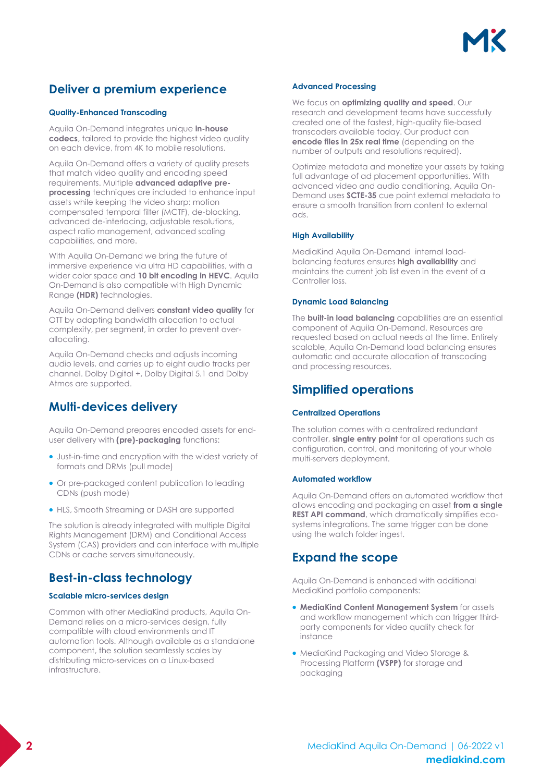

## **Deliver a premium experience**

### **Quality-Enhanced Transcoding**

Aquila On-Demand integrates unique **in-house codecs**, tailored to provide the highest video quality on each device, from 4K to mobile resolutions.

Aquila On-Demand offers a variety of quality presets that match video quality and encoding speed requirements. Multiple **advanced adaptive preprocessing** techniques are included to enhance input assets while keeping the video sharp: motion compensated temporal filter (MCTF), de-blocking, advanced de-interlacing, adjustable resolutions, aspect ratio management, advanced scaling capabilities, and more.

With Aquila On-Demand we bring the future of immersive experience via ultra HD capabilities, with a wider color space and **10 bit encoding in HEVC**. Aquila On-Demand is also compatible with High Dynamic Range **(HDR)** technologies.

Aquila On-Demand delivers **constant video quality** for OTT by adapting bandwidth allocation to actual complexity, per segment, in order to prevent overallocating.

Aquila On-Demand checks and adjusts incoming audio levels, and carries up to eight audio tracks per channel. Dolby Digital +, Dolby Digital 5.1 and Dolby Atmos are supported.

## **Multi-devices delivery**

Aquila On-Demand prepares encoded assets for enduser delivery with **(pre)-packaging** functions:

- Just-in-time and encryption with the widest variety of formats and DRMs (pull mode)
- Or pre-packaged content publication to leading CDNs (push mode)
- HLS, Smooth Streaming or DASH are supported

The solution is already integrated with multiple Digital Rights Management (DRM) and Conditional Access System (CAS) providers and can interface with multiple CDNs or cache servers simultaneously.

## **Best-in-class technology**

### **Scalable micro-services design**

Common with other MediaKind products, Aquila On-Demand relies on a micro-services design, fully compatible with cloud environments and IT automation tools. Although available as a standalone component, the solution seamlessly scales by distributing micro-services on a Linux-based infrastructure.

#### **Advanced Processing**

We focus on **optimizing quality and speed**. Our research and development teams have successfully created one of the fastest, high-quality file-based transcoders available today. Our product can **encode files in 25x real time** (depending on the number of outputs and resolutions required).

Optimize metadata and monetize your assets by taking full advantage of ad placement opportunities. With advanced video and audio conditioning, Aquila On-Demand uses **SCTE-35** cue point external metadata to ensure a smooth transition from content to external ads.

#### **High Availability**

MediaKind Aquila On-Demand internal loadbalancing features ensures **high availability** and maintains the current job list even in the event of a Controller loss.

#### **Dynamic Load Balancing**

The **built-in load balancing** capabilities are an essential component of Aquila On-Demand. Resources are requested based on actual needs at the time. Entirely scalable, Aquila On-Demand load balancing ensures automatic and accurate allocation of transcoding and processing resources.

## **Simplified operations**

### **Centralized Operations**

The solution comes with a centralized redundant controller, **single entry point** for all operations such as configuration, control, and monitoring of your whole multi-servers deployment.

#### **Automated workflow**

Aquila On-Demand offers an automated workflow that allows encoding and packaging an asset **from a single REST API command**, which dramatically simplifies ecosystems integrations. The same trigger can be done using the watch folder ingest.

## **Expand the scope**

Aquila On-Demand is enhanced with additional MediaKind portfolio components:

- **MediaKind Content Management System** for assets and workflow management which can trigger thirdparty components for video quality check for instance
- MediaKind Packaging and Video Storage & Processing Platform **(VSPP)** for storage and packaging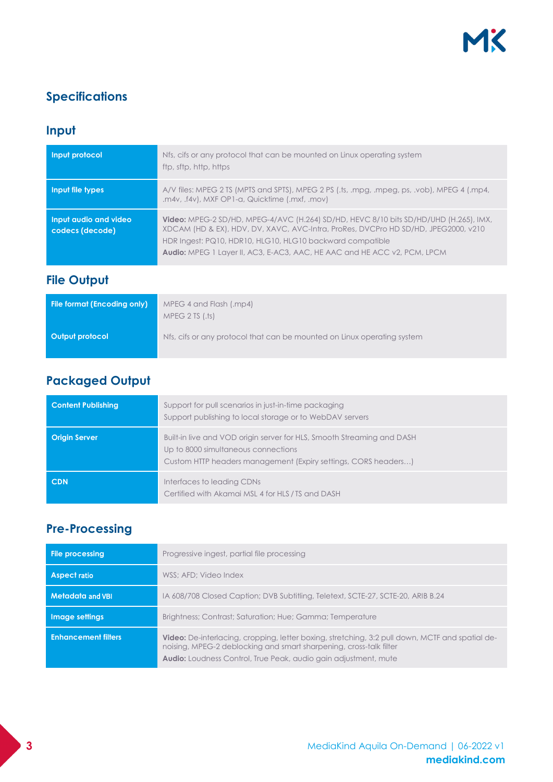## **Specifications**

# **Input**

| Input protocol                           | Nfs, cifs or any protocol that can be mounted on Linux operating system<br>ftp, sftp, http, https                                                                                                                                                                                                                                  |
|------------------------------------------|------------------------------------------------------------------------------------------------------------------------------------------------------------------------------------------------------------------------------------------------------------------------------------------------------------------------------------|
| Input file types                         | A/V files: MPEG 2 TS (MPTS and SPTS), MPEG 2 PS (.ts, .mpg, .mpeg, ps, .vob), MPEG 4 (.mp4,<br>.m4v, .f4v), MXF OP1-a, Quicktime (.mxf, .mov)                                                                                                                                                                                      |
| Input audio and video<br>codecs (decode) | <b>Video:</b> MPEG-2 SD/HD, MPEG-4/AVC (H.264) SD/HD, HEVC 8/10 bits SD/HD/UHD (H.265), IMX,<br>XDCAM (HD & EX), HDV, DV, XAVC, AVC-Intra, ProRes, DVCPro HD SD/HD, JPEG2000, v210<br>HDR Ingest: PQ10, HDR10, HLG10, HLG10 backward compatible<br><b>Audio:</b> MPEG 1 Layer II, AC3, E-AC3, AAC, HE AAC and HE ACC v2, PCM, LPCM |

## **File Output**

| File format (Encoding only) | MPEG 4 and Flash (.mp4)<br>MPEG 2 TS (1.15)                             |
|-----------------------------|-------------------------------------------------------------------------|
| Output protocol             | Nfs, cifs or any protocol that can be mounted on Linux operating system |

## **Packaged Output**

| <b>Content Publishing</b> | Support for pull scenarios in just-in-time packaging<br>Support publishing to local storage or to WebDAV servers                                                                |
|---------------------------|---------------------------------------------------------------------------------------------------------------------------------------------------------------------------------|
| <b>Origin Server</b>      | Built-in live and VOD origin server for HLS, Smooth Streaming and DASH<br>Up to 8000 simultaneous connections<br>Custom HTTP headers management (Expiry settings, CORS headers) |
| <b>CDN</b>                | Interfaces to leading CDNs<br>Certified with Akamai MSL 4 for HLS / TS and DASH                                                                                                 |

# **Pre-Processing**

| <b>File processing</b>     | Progressive ingest, partial file processing                                                                                                                                                                                                            |
|----------------------------|--------------------------------------------------------------------------------------------------------------------------------------------------------------------------------------------------------------------------------------------------------|
| <b>Aspect ratio</b>        | WSS: AFD: Video Index                                                                                                                                                                                                                                  |
| <b>Metadata and VBI</b>    | IA 608/708 Closed Caption; DVB Subtitling, Teletext, SCTE-27, SCTE-20, ARIB B.24                                                                                                                                                                       |
| Image settings             | Brightness; Contrast; Saturation; Hue; Gamma; Temperature                                                                                                                                                                                              |
| <b>Enhancement filters</b> | <b>Video:</b> De-interlacing, cropping, letter boxing, stretching, 3:2 pull down, MCTF and spatial de-<br>noising, MPEG-2 deblocking and smart sharpening, cross-talk filter<br><b>Audio:</b> Loudness Control, True Peak, audio gain adjustment, mute |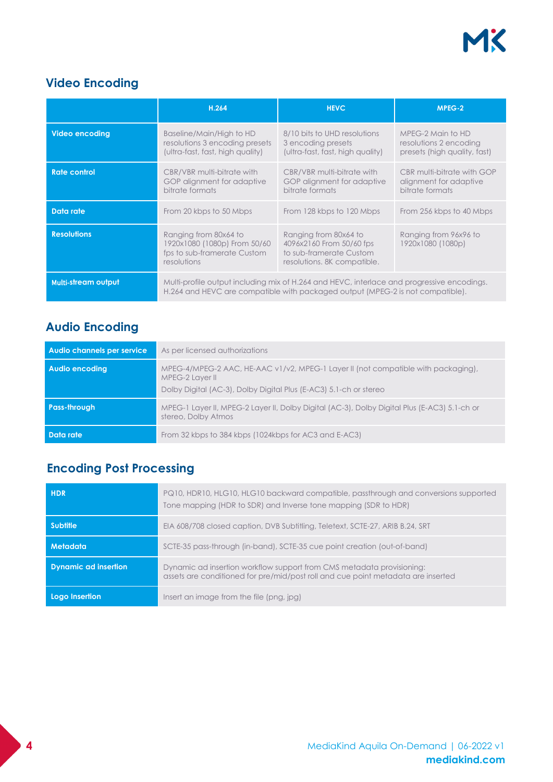# MK

# **Video Encoding**

|                            | H.264                                                                                               | <b>HEVC</b>                                                                                                                                                                  | MPEG-2                                                                      |
|----------------------------|-----------------------------------------------------------------------------------------------------|------------------------------------------------------------------------------------------------------------------------------------------------------------------------------|-----------------------------------------------------------------------------|
| <b>Video encoding</b>      | Baseline/Main/High to HD<br>resolutions 3 encoding presets<br>(ultra-fast, fast, high quality)      | 8/10 bits to UHD resolutions<br>3 encoding presets<br>(ultra-fast, fast, high quality)                                                                                       | MPEG-2 Main to HD<br>resolutions 2 encoding<br>presets (high quality, fast) |
| <b>Rate control</b>        | CBR/VBR multi-bitrate with<br>GOP alignment for adaptive<br>bitrate formats                         | CBR/VBR multi-bitrate with<br>GOP alignment for adaptive<br>bitrate formats                                                                                                  | CBR multi-bitrate with GOP<br>alignment for adaptive<br>bitrate formats     |
| Data rate                  | From 20 kbps to 50 Mbps                                                                             | From 128 kbps to 120 Mbps                                                                                                                                                    | From 256 kbps to 40 Mbps                                                    |
| <b>Resolutions</b>         | Ranging from 80x64 to<br>1920x1080 (1080p) From 50/60<br>fps to sub-framerate Custom<br>resolutions | Ranging from 80x64 to<br>4096x2160 From 50/60 fps<br>to sub-framerate Custom<br>resolutions. 8K compatible.                                                                  | Ranging from 96x96 to<br>1920x1080 (1080p)                                  |
| <b>Multi-stream output</b> |                                                                                                     | Multi-profile output including mix of H.264 and HEVC, interlace and progressive encodings.<br>H.264 and HEVC are compatible with packaged output (MPEG-2 is not compatible). |                                                                             |

# **Audio Encoding**

| Audio channels per service | As per licensed authorizations                                                                                                                                            |
|----------------------------|---------------------------------------------------------------------------------------------------------------------------------------------------------------------------|
| <b>Audio encoding</b>      | MPEG-4/MPEG-2 AAC, HE-AAC v1/v2, MPEG-1 Layer II (not compatible with packaging),<br>MPEG-2 Layer II<br>Dolby Digital (AC-3), Dolby Digital Plus (E-AC3) 5.1-ch or stereo |
| <b>Pass-through</b>        | MPEG-1 Layer II, MPEG-2 Layer II, Dolby Digital (AC-3), Dolby Digital Plus (E-AC3) 5.1-ch or<br>stereo, Dolby Atmos                                                       |
| Data rate                  | From 32 kbps to 384 kbps (1024kbps for AC3 and E-AC3)                                                                                                                     |

## **Encoding Post Processing**

| <b>HDR</b>                  | PQ10, HDR10, HLG10, HLG10 backward compatible, passthrough and conversions supported<br>Tone mapping (HDR to SDR) and Inverse tone mapping (SDR to HDR)   |
|-----------------------------|-----------------------------------------------------------------------------------------------------------------------------------------------------------|
| <b>Subtitle</b>             | EIA 608/708 closed caption, DVB Subtitling, Teletext, SCTE-27, ARIB B.24, SRT                                                                             |
| Metadata                    | SCTE-35 pass-through (in-band), SCTE-35 cue point creation (out-of-band)                                                                                  |
| <b>Dynamic ad insertion</b> | Dynamic ad insertion workflow support from CMS metadata provisioning:<br>assets are conditioned for pre/mid/post roll and cue point metadata are inserted |
| Logo Insertion              | Insert an image from the file (png, jpg)                                                                                                                  |